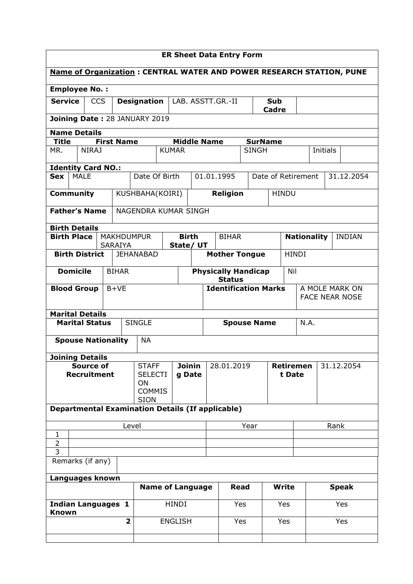| <b>ER Sheet Data Entry Form</b>                                                                  |            |                                     |                                                           |                |              |                                                    |                    |                    |                                     |                       |            |  |
|--------------------------------------------------------------------------------------------------|------------|-------------------------------------|-----------------------------------------------------------|----------------|--------------|----------------------------------------------------|--------------------|--------------------|-------------------------------------|-----------------------|------------|--|
| <b>Name of Organization: CENTRAL WATER AND POWER RESEARCH STATION, PUNE</b>                      |            |                                     |                                                           |                |              |                                                    |                    |                    |                                     |                       |            |  |
| <b>Employee No.:</b>                                                                             |            |                                     |                                                           |                |              |                                                    |                    |                    |                                     |                       |            |  |
| <b>Service</b>                                                                                   | <b>CCS</b> |                                     | <b>Designation</b>                                        |                |              | LAB. ASSTT.GR.-II<br>Sub<br>Cadre                  |                    |                    |                                     |                       |            |  |
| Joining Date: 28 JANUARY 2019                                                                    |            |                                     |                                                           |                |              |                                                    |                    |                    |                                     |                       |            |  |
| <b>Name Details</b><br><b>Middle Name</b><br><b>Title</b><br><b>First Name</b><br><b>SurName</b> |            |                                     |                                                           |                |              |                                                    |                    |                    |                                     |                       |            |  |
| MR.<br><b>NIRAJ</b>                                                                              |            |                                     |                                                           | <b>KUMAR</b>   |              | <b>SINGH</b>                                       |                    |                    |                                     | Initials              |            |  |
| <b>Identity Card NO.:</b>                                                                        |            |                                     |                                                           |                |              |                                                    |                    |                    |                                     |                       |            |  |
| <b>MALE</b><br><b>Sex</b>                                                                        |            |                                     | Date Of Birth                                             |                |              | 01.01.1995                                         |                    | Date of Retirement |                                     |                       | 31.12.2054 |  |
| <b>Community</b>                                                                                 |            |                                     | KUSHBAHA(KOIRI)                                           |                |              | <b>Religion</b>                                    |                    | <b>HINDU</b>       |                                     |                       |            |  |
| <b>Father's Name</b>                                                                             |            |                                     | NAGENDRA KUMAR SINGH                                      |                |              |                                                    |                    |                    |                                     |                       |            |  |
| <b>Birth Details</b>                                                                             |            |                                     |                                                           |                |              |                                                    |                    |                    |                                     |                       |            |  |
| <b>Birth Place</b>                                                                               |            | <b>MAKHDUMPUR</b><br><b>SARAIYA</b> |                                                           | State/ UT      | <b>Birth</b> | <b>BIHAR</b>                                       |                    |                    | <b>Nationality</b><br><b>INDIAN</b> |                       |            |  |
| <b>Birth District</b>                                                                            |            |                                     | <b>JEHANABAD</b>                                          |                |              | <b>Mother Tongue</b>                               |                    |                    | <b>HINDI</b>                        |                       |            |  |
| <b>Domicile</b>                                                                                  |            | <b>BIHAR</b>                        |                                                           |                |              | <b>Physically Handicap</b><br>Nil<br><b>Status</b> |                    |                    |                                     |                       |            |  |
| <b>Blood Group</b>                                                                               |            | $B+VE$                              |                                                           |                |              | <b>Identification Marks</b>                        |                    |                    |                                     | A MOLE MARK ON        |            |  |
|                                                                                                  |            |                                     |                                                           |                |              |                                                    |                    |                    |                                     | <b>FACE NEAR NOSE</b> |            |  |
| <b>Marital Details</b><br><b>Marital Status</b>                                                  |            |                                     | <b>SINGLE</b>                                             |                |              |                                                    | <b>Spouse Name</b> |                    | N.A.                                |                       |            |  |
|                                                                                                  |            |                                     |                                                           |                |              |                                                    |                    |                    |                                     |                       |            |  |
| <b>Spouse Nationality</b>                                                                        |            |                                     | <b>NA</b>                                                 |                |              |                                                    |                    |                    |                                     |                       |            |  |
| <b>Joining Details</b>                                                                           |            |                                     |                                                           |                |              |                                                    |                    |                    |                                     |                       |            |  |
| <b>Source of</b><br><b>Recruitment</b>                                                           |            |                                     | <b>Joinin</b><br><b>STAFF</b><br><b>SELECTI</b><br>g Date |                |              | 28.01.2019                                         |                    |                    | <b>Retiremen</b><br>t Date          |                       | 31.12.2054 |  |
|                                                                                                  |            |                                     | ON                                                        |                |              |                                                    |                    |                    |                                     |                       |            |  |
|                                                                                                  |            |                                     | <b>COMMIS</b><br><b>SION</b>                              |                |              |                                                    |                    |                    |                                     |                       |            |  |
| <b>Departmental Examination Details (If applicable)</b>                                          |            |                                     |                                                           |                |              |                                                    |                    |                    |                                     |                       |            |  |
|                                                                                                  |            | Level                               |                                                           |                |              | Year                                               |                    |                    |                                     | Rank                  |            |  |
| $\mathbf{1}$<br>$\overline{2}$                                                                   |            |                                     |                                                           |                |              |                                                    |                    |                    |                                     |                       |            |  |
| 3                                                                                                |            |                                     |                                                           |                |              |                                                    |                    |                    |                                     |                       |            |  |
| Remarks (if any)                                                                                 |            |                                     |                                                           |                |              |                                                    |                    |                    |                                     |                       |            |  |
| Languages known<br><b>Name of Language</b><br><b>Read</b>                                        |            |                                     |                                                           |                |              |                                                    |                    |                    |                                     |                       |            |  |
|                                                                                                  |            |                                     |                                                           |                |              | <b>Write</b>                                       |                    | <b>Speak</b>       |                                     |                       |            |  |
| <b>Indian Languages 1</b><br>Known                                                               |            |                                     |                                                           | <b>HINDI</b>   |              | Yes                                                | Yes                |                    | Yes                                 |                       |            |  |
|                                                                                                  |            | $\overline{\mathbf{2}}$             |                                                           | <b>ENGLISH</b> |              |                                                    | Yes                | Yes                |                                     |                       | Yes        |  |
|                                                                                                  |            |                                     |                                                           |                |              |                                                    |                    |                    |                                     |                       |            |  |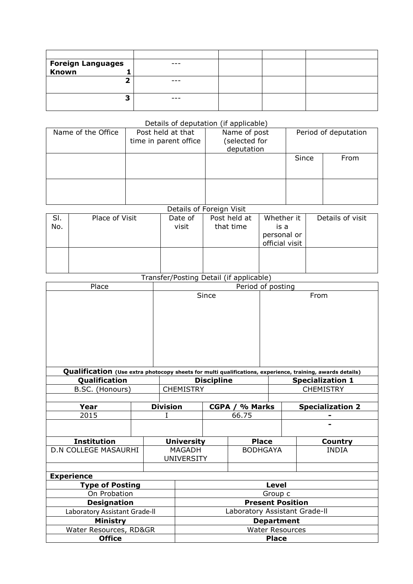| <b>Foreign Languages</b><br>Known |  |  |
|-----------------------------------|--|--|
|                                   |  |  |
|                                   |  |  |
| -                                 |  |  |
|                                   |  |  |

## Details of deputation (if applicable)

| Name of the Office | Post held at that<br>time in parent office | Name of post<br>selected for)<br>deputation | Period of deputation |      |
|--------------------|--------------------------------------------|---------------------------------------------|----------------------|------|
|                    |                                            |                                             | Since                | From |
|                    |                                            |                                             |                      |      |

## Details of Foreign Visit

| SI.<br>No. | Place of Visit | Date of<br>visit | Post held at<br>that time | Whether it<br>is a<br>personal or<br>official visit | Details of visit |
|------------|----------------|------------------|---------------------------|-----------------------------------------------------|------------------|
|            |                |                  |                           |                                                     |                  |

## Transfer/Posting Detail (if applicable)

| Place                         | Period of posting             |                   |                   |                 |                  |                                                                                                           |  |  |  |
|-------------------------------|-------------------------------|-------------------|-------------------|-----------------|------------------|-----------------------------------------------------------------------------------------------------------|--|--|--|
|                               | Since                         |                   |                   |                 |                  | From                                                                                                      |  |  |  |
|                               |                               |                   |                   |                 |                  | Qualification (Use extra photocopy sheets for multi qualifications, experience, training, awards details) |  |  |  |
| Qualification                 |                               |                   | <b>Discipline</b> |                 |                  | <b>Specialization 1</b>                                                                                   |  |  |  |
| B.SC. (Honours)               |                               | <b>CHEMISTRY</b>  |                   |                 | <b>CHEMISTRY</b> |                                                                                                           |  |  |  |
|                               |                               |                   |                   |                 |                  |                                                                                                           |  |  |  |
| Year                          | <b>Division</b>               |                   |                   | CGPA / % Marks  |                  | <b>Specialization 2</b>                                                                                   |  |  |  |
| 2015                          |                               | 66.75             |                   |                 |                  |                                                                                                           |  |  |  |
|                               |                               |                   |                   |                 |                  |                                                                                                           |  |  |  |
| <b>Institution</b>            |                               | <b>University</b> |                   | <b>Place</b>    |                  | Country                                                                                                   |  |  |  |
| <b>D.N COLLEGE MASAURHI</b>   |                               | <b>MAGADH</b>     |                   | <b>BODHGAYA</b> |                  | <b>INDIA</b>                                                                                              |  |  |  |
|                               |                               | <b>UNIVERSITY</b> |                   |                 |                  |                                                                                                           |  |  |  |
|                               |                               |                   |                   |                 |                  |                                                                                                           |  |  |  |
| <b>Experience</b>             |                               |                   |                   |                 |                  |                                                                                                           |  |  |  |
| <b>Type of Posting</b>        |                               | <b>Level</b>      |                   |                 |                  |                                                                                                           |  |  |  |
| On Probation                  | Group c                       |                   |                   |                 |                  |                                                                                                           |  |  |  |
| <b>Designation</b>            | <b>Present Position</b>       |                   |                   |                 |                  |                                                                                                           |  |  |  |
| Laboratory Assistant Grade-II | Laboratory Assistant Grade-II |                   |                   |                 |                  |                                                                                                           |  |  |  |
| <b>Ministry</b>               | <b>Department</b>             |                   |                   |                 |                  |                                                                                                           |  |  |  |
| Water Resources, RD&GR        | <b>Water Resources</b>        |                   |                   |                 |                  |                                                                                                           |  |  |  |
| <b>Office</b>                 |                               |                   |                   | <b>Place</b>    |                  |                                                                                                           |  |  |  |